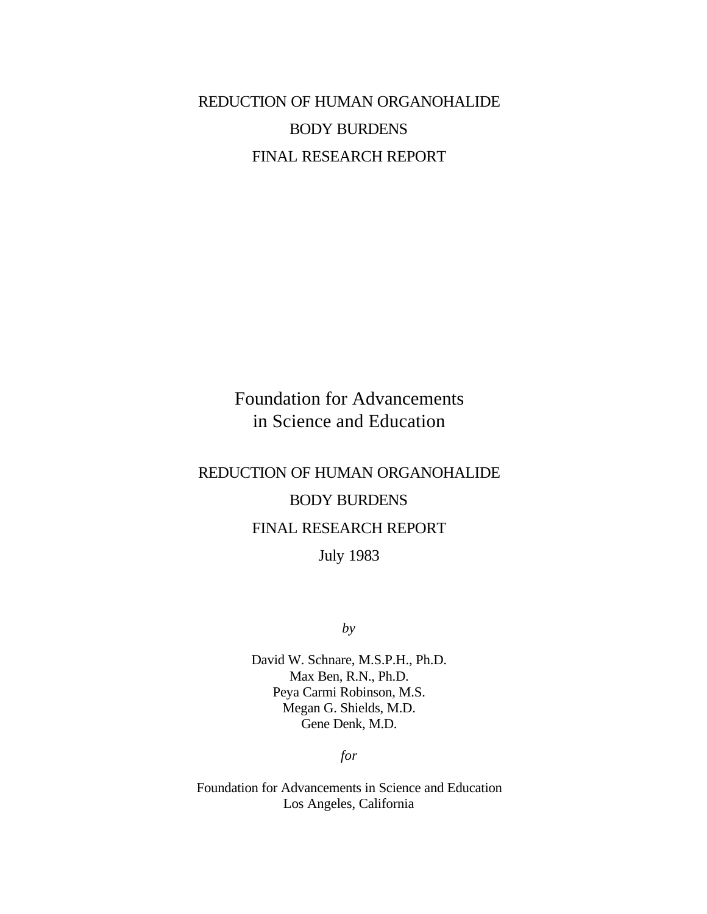# REDUCTION OF HUMAN ORGANOHALIDE BODY BURDENS FINAL RESEARCH REPORT

# Foundation for Advancements in Science and Education

# REDUCTION OF HUMAN ORGANOHALIDE BODY BURDENS FINAL RESEARCH REPORT

July 1983

*by*

David W. Schnare, M.S.P.H., Ph.D. Max Ben, R.N., Ph.D. Peya Carmi Robinson, M.S. Megan G. Shields, M.D. Gene Denk, M.D.

*for*

Foundation for Advancements in Science and Education Los Angeles, California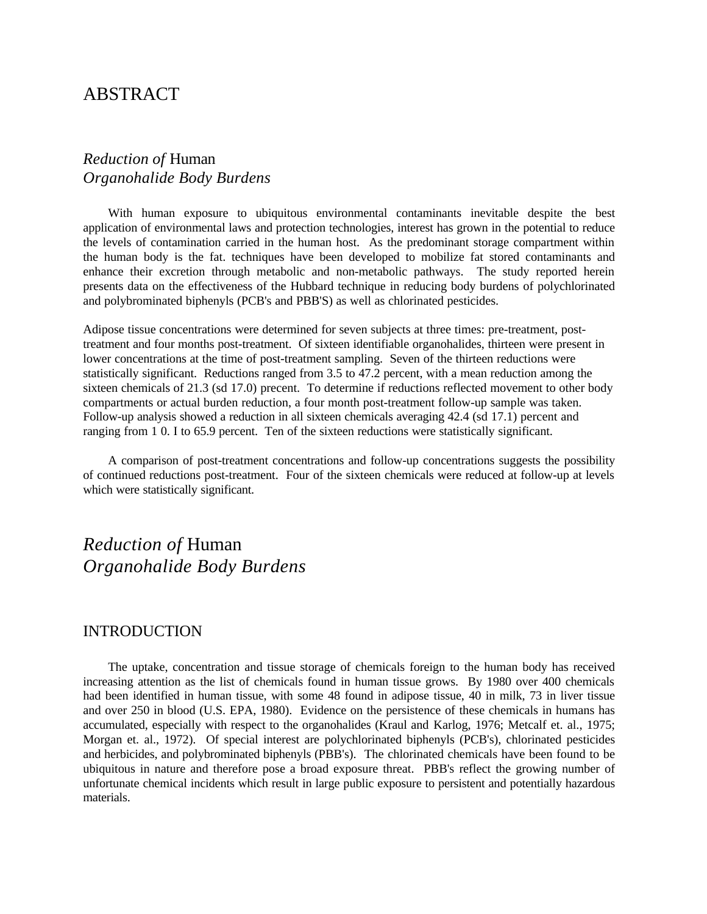# ABSTRACT

# *Reduction of* Human *Organohalide Body Burdens*

With human exposure to ubiquitous environmental contaminants inevitable despite the best application of environmental laws and protection technologies, interest has grown in the potential to reduce the levels of contamination carried in the human host. As the predominant storage compartment within the human body is the fat. techniques have been developed to mobilize fat stored contaminants and enhance their excretion through metabolic and non-metabolic pathways. The study reported herein presents data on the effectiveness of the Hubbard technique in reducing body burdens of polychlorinated and polybrominated biphenyls (PCB's and PBB'S) as well as chlorinated pesticides.

Adipose tissue concentrations were determined for seven subjects at three times: pre-treatment, posttreatment and four months post-treatment. Of sixteen identifiable organohalides, thirteen were present in lower concentrations at the time of post-treatment sampling. Seven of the thirteen reductions were statistically significant. Reductions ranged from 3.5 to 47.2 percent, with a mean reduction among the sixteen chemicals of 21.3 (sd 17.0) precent. To determine if reductions reflected movement to other body compartments or actual burden reduction, a four month post-treatment follow-up sample was taken. Follow-up analysis showed a reduction in all sixteen chemicals averaging 42.4 (sd 17.1) percent and ranging from 1 0. I to 65.9 percent. Ten of the sixteen reductions were statistically significant.

A comparison of post-treatment concentrations and follow-up concentrations suggests the possibility of continued reductions post-treatment. Four of the sixteen chemicals were reduced at follow-up at levels which were statistically significant.

*Reduction of* Human *Organohalide Body Burdens*

### INTRODUCTION

The uptake, concentration and tissue storage of chemicals foreign to the human body has received increasing attention as the list of chemicals found in human tissue grows. By 1980 over 400 chemicals had been identified in human tissue, with some 48 found in adipose tissue, 40 in milk, 73 in liver tissue and over 250 in blood (U.S. EPA, 1980). Evidence on the persistence of these chemicals in humans has accumulated, especially with respect to the organohalides (Kraul and Karlog, 1976; Metcalf et. al., 1975; Morgan et. al., 1972). Of special interest are polychlorinated biphenyls (PCB's), chlorinated pesticides and herbicides, and polybrominated biphenyls (PBB's). The chlorinated chemicals have been found to be ubiquitous in nature and therefore pose a broad exposure threat. PBB's reflect the growing number of unfortunate chemical incidents which result in large public exposure to persistent and potentially hazardous materials.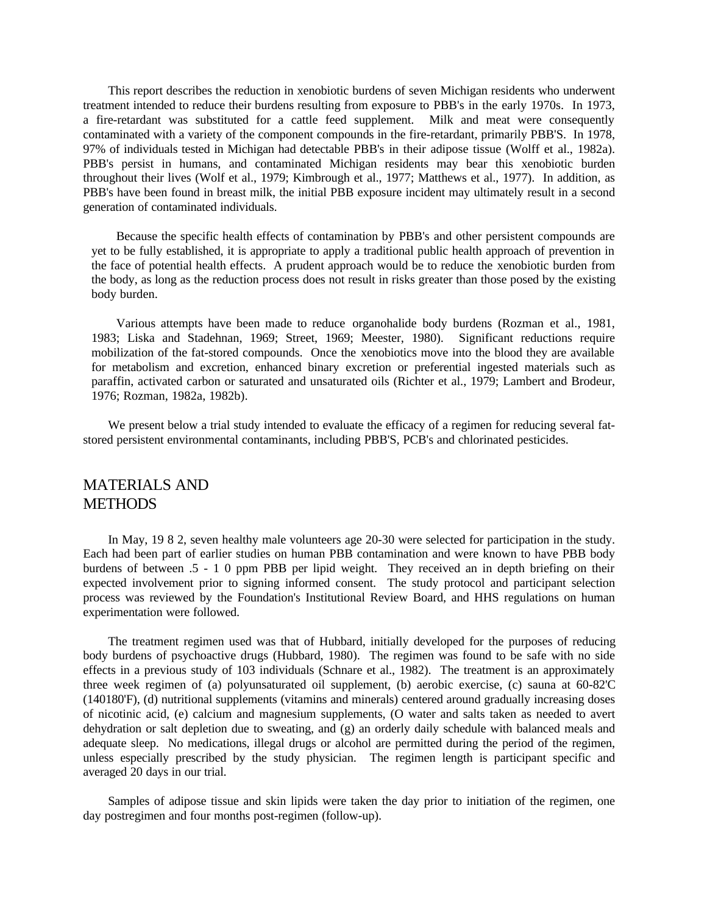This report describes the reduction in xenobiotic burdens of seven Michigan residents who underwent treatment intended to reduce their burdens resulting from exposure to PBB's in the early 1970s. In 1973, a fire-retardant was substituted for a cattle feed supplement. Milk and meat were consequently contaminated with a variety of the component compounds in the fire-retardant, primarily PBB'S. In 1978, 97% of individuals tested in Michigan had detectable PBB's in their adipose tissue (Wolff et al., 1982a). PBB's persist in humans, and contaminated Michigan residents may bear this xenobiotic burden throughout their lives (Wolf et al., 1979; Kimbrough et al., 1977; Matthews et al., 1977). In addition, as PBB's have been found in breast milk, the initial PBB exposure incident may ultimately result in a second generation of contaminated individuals.

Because the specific health effects of contamination by PBB's and other persistent compounds are yet to be fully established, it is appropriate to apply a traditional public health approach of prevention in the face of potential health effects. A prudent approach would be to reduce the xenobiotic burden from the body, as long as the reduction process does not result in risks greater than those posed by the existing body burden.

Various attempts have been made to reduce organohalide body burdens (Rozman et al., 1981, 1983; Liska and Stadehnan, 1969; Street, 1969; Meester, 1980). Significant reductions require mobilization of the fat-stored compounds. Once the xenobiotics move into the blood they are available for metabolism and excretion, enhanced binary excretion or preferential ingested materials such as paraffin, activated carbon or saturated and unsaturated oils (Richter et al., 1979; Lambert and Brodeur, 1976; Rozman, 1982a, 1982b).

We present below a trial study intended to evaluate the efficacy of a regimen for reducing several fatstored persistent environmental contaminants, including PBB'S, PCB's and chlorinated pesticides.

# MATERIALS AND **METHODS**

In May, 19 8 2, seven healthy male volunteers age 20-30 were selected for participation in the study. Each had been part of earlier studies on human PBB contamination and were known to have PBB body burdens of between .5 - 1 0 ppm PBB per lipid weight. They received an in depth briefing on their expected involvement prior to signing informed consent. The study protocol and participant selection process was reviewed by the Foundation's Institutional Review Board, and HHS regulations on human experimentation were followed.

The treatment regimen used was that of Hubbard, initially developed for the purposes of reducing body burdens of psychoactive drugs (Hubbard, 1980). The regimen was found to be safe with no side effects in a previous study of 103 individuals (Schnare et al., 1982). The treatment is an approximately three week regimen of (a) polyunsaturated oil supplement, (b) aerobic exercise, (c) sauna at 60-82'C (140180'F), (d) nutritional supplements (vitamins and minerals) centered around gradually increasing doses of nicotinic acid, (e) calcium and magnesium supplements, (O water and salts taken as needed to avert dehydration or salt depletion due to sweating, and (g) an orderly daily schedule with balanced meals and adequate sleep. No medications, illegal drugs or alcohol are permitted during the period of the regimen, unless especially prescribed by the study physician. The regimen length is participant specific and averaged 20 days in our trial.

Samples of adipose tissue and skin lipids were taken the day prior to initiation of the regimen, one day postregimen and four months post-regimen (follow-up).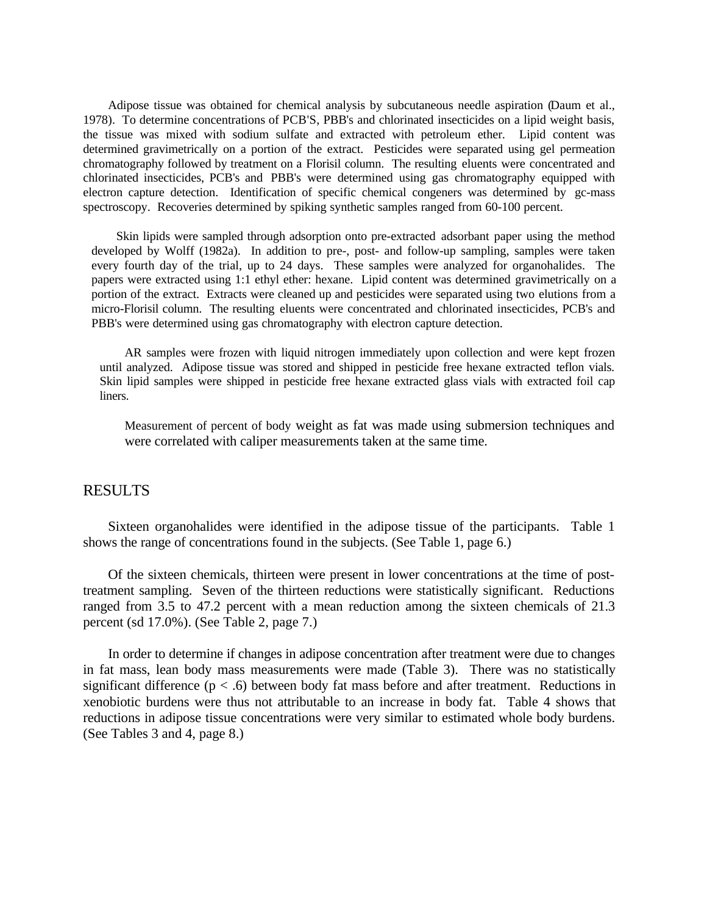Adipose tissue was obtained for chemical analysis by subcutaneous needle aspiration (Daum et al., 1978). To determine concentrations of PCB'S, PBB's and chlorinated insecticides on a lipid weight basis, the tissue was mixed with sodium sulfate and extracted with petroleum ether. Lipid content was determined gravimetrically on a portion of the extract. Pesticides were separated using gel permeation chromatography followed by treatment on a Florisil column. The resulting eluents were concentrated and chlorinated insecticides, PCB's and PBB's were determined using gas chromatography equipped with electron capture detection. Identification of specific chemical congeners was determined by gc-mass spectroscopy. Recoveries determined by spiking synthetic samples ranged from 60-100 percent.

Skin lipids were sampled through adsorption onto pre-extracted adsorbant paper using the method developed by Wolff (1982a). In addition to pre-, post- and follow-up sampling, samples were taken every fourth day of the trial, up to 24 days. These samples were analyzed for organohalides. The papers were extracted using 1:1 ethyl ether: hexane. Lipid content was determined gravimetrically on a portion of the extract. Extracts were cleaned up and pesticides were separated using two elutions from a micro-Florisil column. The resulting eluents were concentrated and chlorinated insecticides, PCB's and PBB's were determined using gas chromatography with electron capture detection.

AR samples were frozen with liquid nitrogen immediately upon collection and were kept frozen until analyzed. Adipose tissue was stored and shipped in pesticide free hexane extracted teflon vials. Skin lipid samples were shipped in pesticide free hexane extracted glass vials with extracted foil cap liners.

Measurement of percent of body weight as fat was made using submersion techniques and were correlated with caliper measurements taken at the same time.

#### RESULTS

Sixteen organohalides were identified in the adipose tissue of the participants. Table 1 shows the range of concentrations found in the subjects. (See Table 1, page 6.)

Of the sixteen chemicals, thirteen were present in lower concentrations at the time of posttreatment sampling. Seven of the thirteen reductions were statistically significant. Reductions ranged from 3.5 to 47.2 percent with a mean reduction among the sixteen chemicals of 21.3 percent (sd 17.0%). (See Table 2, page 7.)

In order to determine if changes in adipose concentration after treatment were due to changes in fat mass, lean body mass measurements were made (Table 3). There was no statistically significant difference  $(p < .6)$  between body fat mass before and after treatment. Reductions in xenobiotic burdens were thus not attributable to an increase in body fat. Table 4 shows that reductions in adipose tissue concentrations were very similar to estimated whole body burdens. (See Tables 3 and 4, page 8.)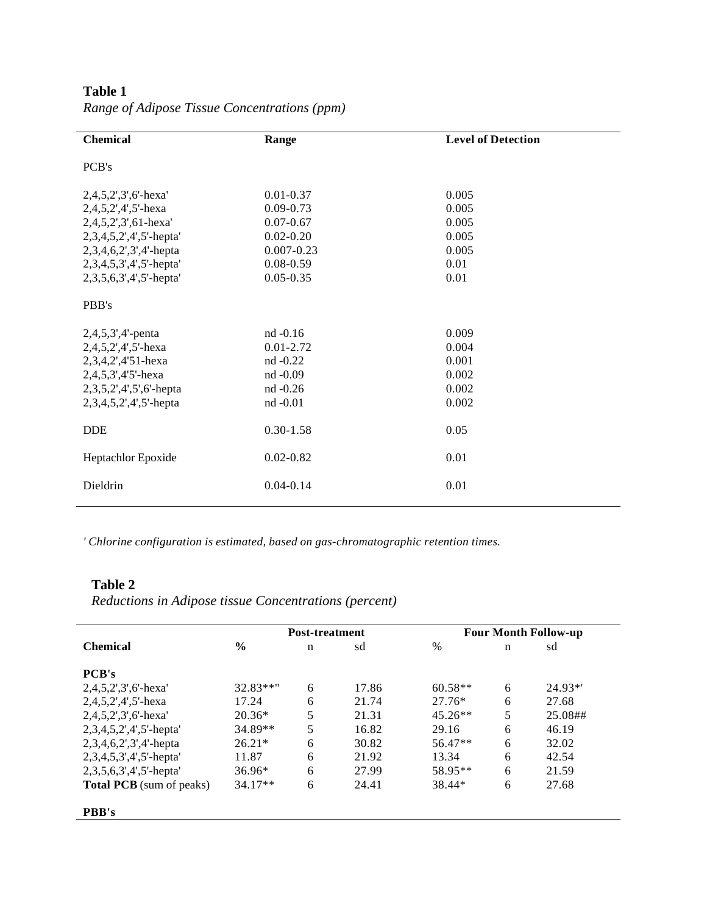| <b>Chemical</b>               | Range          | <b>Level of Detection</b> |
|-------------------------------|----------------|---------------------------|
| PCB's                         |                |                           |
| $2,4,5,2',3',6'$ -hexa'       | $0.01 - 0.37$  | 0.005                     |
| $2,4,5,2',4',5'$ -hexa        | $0.09 - 0.73$  | 0.005                     |
| 2,4,5,2',3',61-hexa'          | $0.07 - 0.67$  | 0.005                     |
| 2,3,4,5,2',4',5'-hepta'       | $0.02 - 0.20$  | 0.005                     |
| 2,3,4,6,2',3',4'-hepta        | $0.007 - 0.23$ | 0.005                     |
| 2,3,4,5,3',4',5'-hepta'       | $0.08 - 0.59$  | 0.01                      |
| 2, 3, 5, 6, 3', 4', 5'-hepta' | $0.05 - 0.35$  | 0.01                      |
| PBB's                         |                |                           |
| $2,4,5,3',4'$ -penta          | nd -0.16       | 0.009                     |
| $2,4,5,2',4',5'$ -hexa        | $0.01 - 2.72$  | 0.004                     |
| 2,3,4,2',4'51-hexa            | $nd -0.22$     | 0.001                     |
| 2,4,5,3',4'5'-hexa            | $nd -0.09$     | 0.002                     |
| 2,3,5,2',4',5',6'-hepta       | $nd -0.26$     | 0.002                     |
| $2,3,4,5,2',4',5'$ -hepta     | $nd -0.01$     | 0.002                     |
| <b>DDE</b>                    | $0.30 - 1.58$  | 0.05                      |
| Heptachlor Epoxide            | $0.02 - 0.82$  | 0.01                      |
| Dieldrin                      | $0.04 - 0.14$  | 0.01                      |

**Table 1** *Range of Adipose Tissue Concentrations (ppm)*

*' Chlorine configuration is estimated, based on gas-chromatographic retention times.*

### **Table 2**

 $\overline{a}$ 

*Reductions in Adipose tissue Concentrations (percent)*

|                                 | <b>Post-treatment</b> |   |       | <b>Four Month Follow-up</b> |   |          |
|---------------------------------|-----------------------|---|-------|-----------------------------|---|----------|
| <b>Chemical</b>                 | $\frac{6}{9}$         | n | sd    | $\%$                        | n | sd       |
| <b>PCB's</b>                    |                       |   |       |                             |   |          |
| $2,4,5,2',3',6'$ -hexa'         | 32.83**"              | 6 | 17.86 | $60.58**$                   | 6 | $24.93*$ |
| $2,4,5,2',4',5'$ -hexa          | 17.24                 | 6 | 21.74 | $27.76*$                    | 6 | 27.68    |
| $2,4,5,2',3',6'$ -hexa'         | $20.36*$              | 5 | 21.31 | $45.26**$                   | 5 | 25.08##  |
| $2,3,4,5,2',4',5'$ -hepta'      | 34.89**               | 5 | 16.82 | 29.16                       | 6 | 46.19    |
| $2,3,4,6,2',3',4'-hepta$        | $26.21*$              | 6 | 30.82 | $56.47**$                   | 6 | 32.02    |
| 2,3,4,5,3',4',5'-hepta'         | 11.87                 | 6 | 21.92 | 13.34                       | 6 | 42.54    |
| 2,3,5,6,3',4',5'-hepta'         | $36.96*$              | 6 | 27.99 | 58.95**                     | 6 | 21.59    |
| <b>Total PCB</b> (sum of peaks) | $34.17**$             | 6 | 24.41 | 38.44*                      | 6 | 27.68    |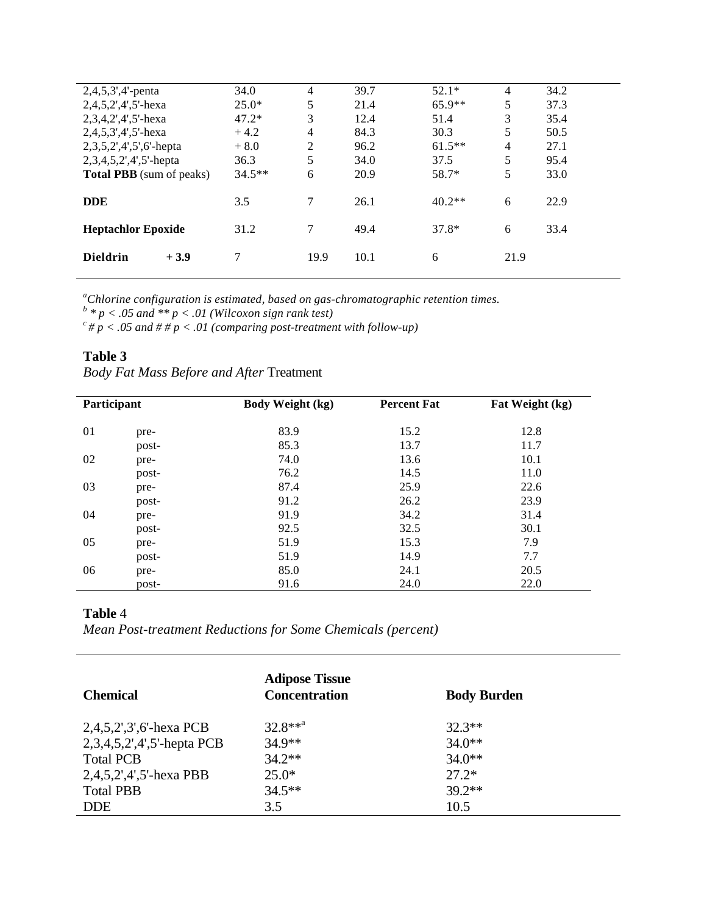| $2,4,5,3',4'$ -penta            | 34.0     | 4    | 39.7 | $52.1*$  | 4    | 34.2 |
|---------------------------------|----------|------|------|----------|------|------|
| $2,4,5,2',4',5'$ -hexa          | $25.0*$  | 5    | 21.4 | $65.9**$ | 5    | 37.3 |
| $2,3,4,2',4',5'$ -hexa          | $47.2*$  | 3    | 12.4 | 51.4     | 3    | 35.4 |
| $2,4,5,3',4',5'$ -hexa          | $+4.2$   | 4    | 84.3 | 30.3     | 5    | 50.5 |
| $2,3,5,2',4',5',6'$ -hepta      | $+8.0$   | 2    | 96.2 | $61.5**$ | 4    | 27.1 |
| $2,3,4,5,2',4',5'$ -hepta       | 36.3     | 5    | 34.0 | 37.5     | 5    | 95.4 |
| <b>Total PBB</b> (sum of peaks) | $34.5**$ | 6    | 20.9 | 58.7*    | 5    | 33.0 |
|                                 |          |      |      |          |      |      |
| <b>DDE</b>                      | 3.5      | 7    | 26.1 | $40.2**$ | 6    | 22.9 |
|                                 |          |      |      |          |      |      |
| <b>Heptachlor Epoxide</b>       | 31.2     | 7    | 49.4 | $37.8*$  | 6    | 33.4 |
|                                 |          |      |      |          |      |      |
| <b>Dieldrin</b><br>$+3.9$       |          | 19.9 | 10.1 | 6        | 21.9 |      |
|                                 |          |      |      |          |      |      |

<sup>a</sup>Chlorine configuration is estimated, based on gas-chromatographic retention times.<br><sup>b</sup> \* p < .05 and \*\* p < .01 (Wilcoxon sign rank test)

 $c^c \# p < .05$  and  $\# \# p < .01$  (comparing post-treatment with follow-up)

# **Table 3**

| Participant |       | <b>Body Weight (kg)</b> | <b>Percent Fat</b> | Fat Weight (kg) |
|-------------|-------|-------------------------|--------------------|-----------------|
| 01          | pre-  | 83.9                    | 15.2               | 12.8            |
|             | post- | 85.3                    | 13.7               | 11.7            |
| 02          | pre-  | 74.0                    | 13.6               | 10.1            |
|             | post- | 76.2                    | 14.5               | 11.0            |
| 03          | pre-  | 87.4                    | 25.9               | 22.6            |
|             | post- | 91.2                    | 26.2               | 23.9            |
| 04          | pre-  | 91.9                    | 34.2               | 31.4            |
|             | post- | 92.5                    | 32.5               | 30.1            |
| 05          | pre-  | 51.9                    | 15.3               | 7.9             |
|             | post- | 51.9                    | 14.9               | 7.7             |
| 06          | pre-  | 85.0                    | 24.1               | 20.5            |
|             | post- | 91.6                    | 24.0               | 22.0            |

### **Table** 4

*Mean Post-treatment Reductions for Some Chemicals (percent)*

| <b>Chemical</b>               | <b>Adipose Tissue</b><br><b>Concentration</b> | <b>Body Burden</b> |
|-------------------------------|-----------------------------------------------|--------------------|
| $2,4,5,2',3',6'$ -hexa PCB    | $32.8***^a$                                   | $32.3**$           |
| $2,3,4,5,2',4',5'$ -hepta PCB | $34.9**$                                      | $34.0**$           |
| <b>Total PCB</b>              | $34.2**$                                      | $34.0**$           |
| 2,4,5,2',4',5'-hexa PBB       | $25.0*$                                       | $27.2*$            |
| <b>Total PBB</b>              | $34.5**$                                      | $39.2**$           |
| <b>DDE</b>                    | 3.5                                           | 10.5               |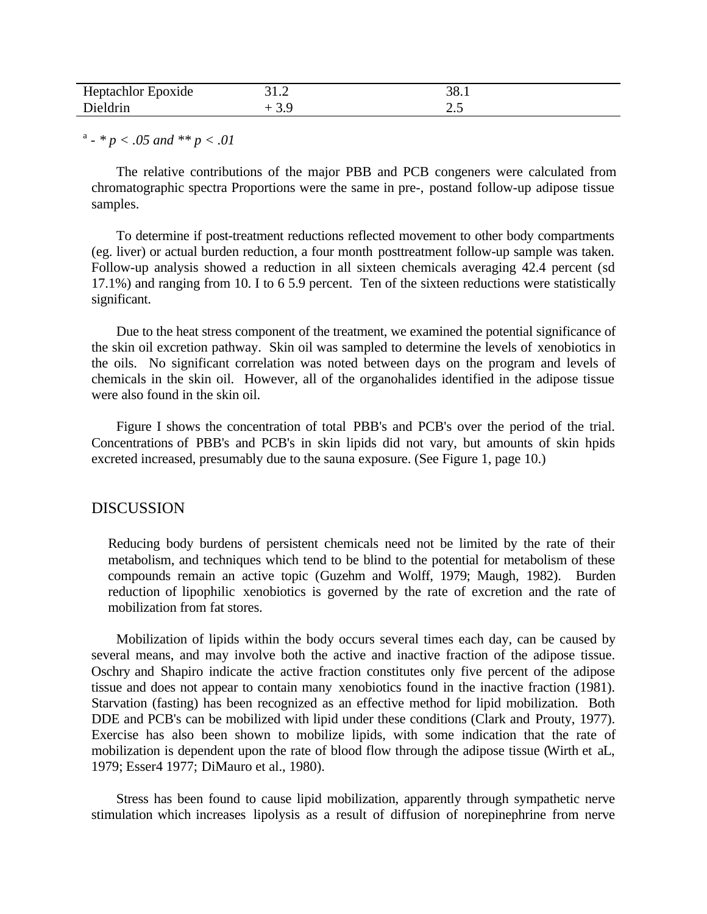| Heptachlor<br>Epoxide | 31.2 | 38. |
|-----------------------|------|-----|
| Dieldrin              |      | ر…  |

a - *\* p < .05 and \*\* p < .01*

The relative contributions of the major PBB and PCB congeners were calculated from chromatographic spectra Proportions were the same in pre-, postand follow-up adipose tissue samples.

To determine if post-treatment reductions reflected movement to other body compartments (eg. liver) or actual burden reduction, a four month posttreatment follow-up sample was taken. Follow-up analysis showed a reduction in all sixteen chemicals averaging 42.4 percent (sd 17.1%) and ranging from 10. I to 6 5.9 percent. Ten of the sixteen reductions were statistically significant.

Due to the heat stress component of the treatment, we examined the potential significance of the skin oil excretion pathway. Skin oil was sampled to determine the levels of xenobiotics in the oils. No significant correlation was noted between days on the program and levels of chemicals in the skin oil. However, all of the organohalides identified in the adipose tissue were also found in the skin oil.

Figure I shows the concentration of total PBB's and PCB's over the period of the trial. Concentrations of PBB's and PCB's in skin lipids did not vary, but amounts of skin hpids excreted increased, presumably due to the sauna exposure. (See Figure 1, page 10.)

#### DISCUSSION

Reducing body burdens of persistent chemicals need not be limited by the rate of their metabolism, and techniques which tend to be blind to the potential for metabolism of these compounds remain an active topic (Guzehm and Wolff, 1979; Maugh, 1982). Burden reduction of lipophilic xenobiotics is governed by the rate of excretion and the rate of mobilization from fat stores.

Mobilization of lipids within the body occurs several times each day, can be caused by several means, and may involve both the active and inactive fraction of the adipose tissue. Oschry and Shapiro indicate the active fraction constitutes only five percent of the adipose tissue and does not appear to contain many xenobiotics found in the inactive fraction (1981). Starvation (fasting) has been recognized as an effective method for lipid mobilization. Both DDE and PCB's can be mobilized with lipid under these conditions (Clark and Prouty, 1977). Exercise has also been shown to mobilize lipids, with some indication that the rate of mobilization is dependent upon the rate of blood flow through the adipose tissue (Wirth et aL, 1979; Esser4 1977; DiMauro et al., 1980).

Stress has been found to cause lipid mobilization, apparently through sympathetic nerve stimulation which increases lipolysis as a result of diffusion of norepinephrine from nerve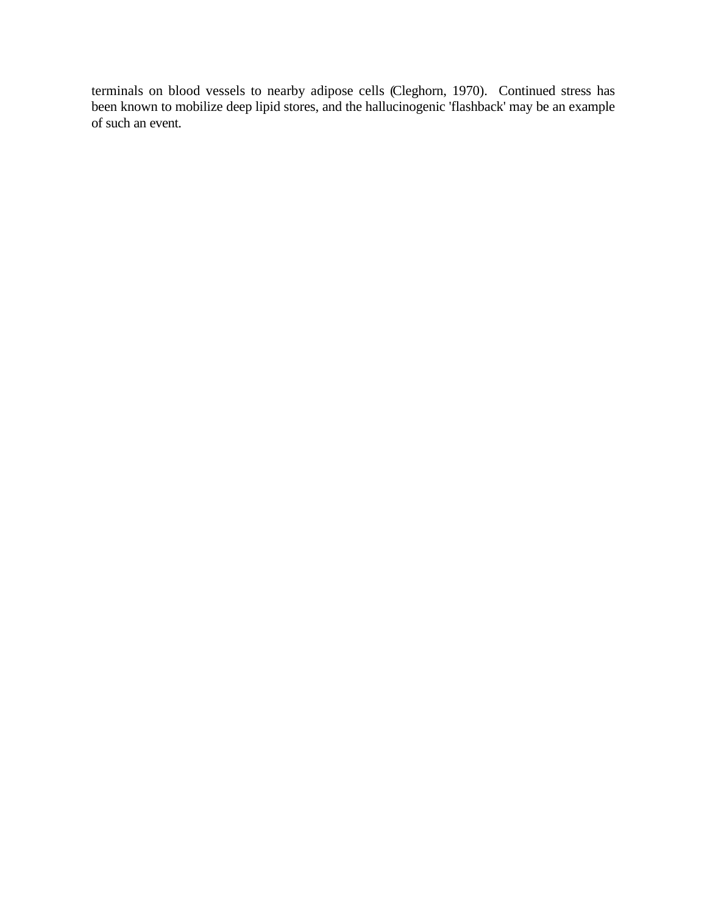terminals on blood vessels to nearby adipose cells (Cleghorn, 1970). Continued stress has been known to mobilize deep lipid stores, and the hallucinogenic 'flashback' may be an example of such an event.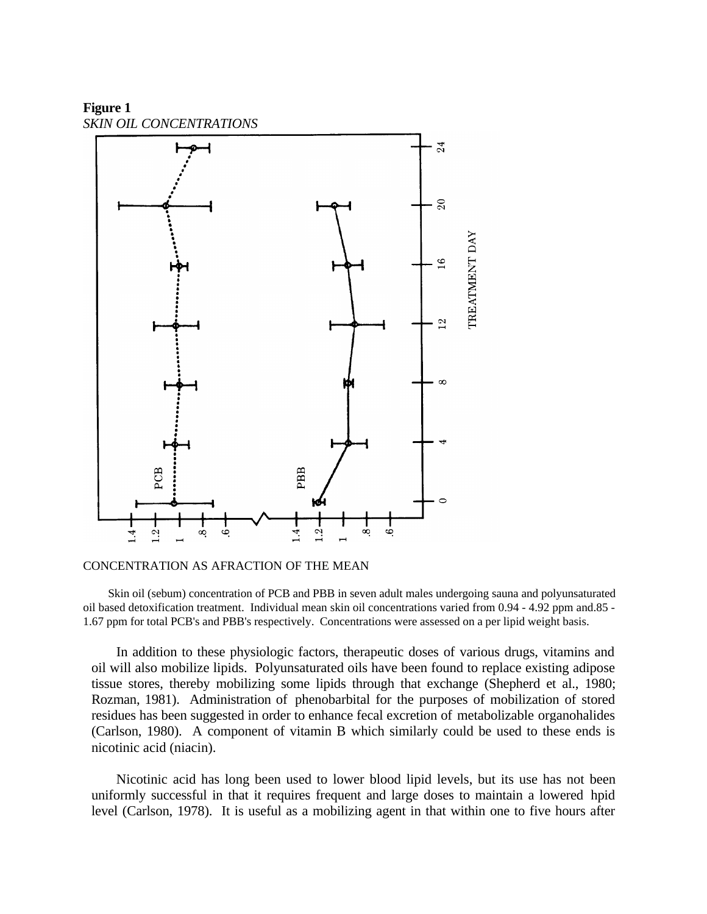**Figure 1** *SKIN OIL CONCENTRATIONS*



#### CONCENTRATION AS AFRACTION OF THE MEAN

Skin oil (sebum) concentration of PCB and PBB in seven adult males undergoing sauna and polyunsaturated oil based detoxification treatment. Individual mean skin oil concentrations varied from 0.94 - 4.92 ppm and.85 - 1.67 ppm for total PCB's and PBB's respectively. Concentrations were assessed on a per lipid weight basis.

In addition to these physiologic factors, therapeutic doses of various drugs, vitamins and oil will also mobilize lipids. Polyunsaturated oils have been found to replace existing adipose tissue stores, thereby mobilizing some lipids through that exchange (Shepherd et al., 1980; Rozman, 1981). Administration of phenobarbital for the purposes of mobilization of stored residues has been suggested in order to enhance fecal excretion of metabolizable organohalides (Carlson, 1980). A component of vitamin B which similarly could be used to these ends is nicotinic acid (niacin).

Nicotinic acid has long been used to lower blood lipid levels, but its use has not been uniformly successful in that it requires frequent and large doses to maintain a lowered hpid level (Carlson, 1978). It is useful as a mobilizing agent in that within one to five hours after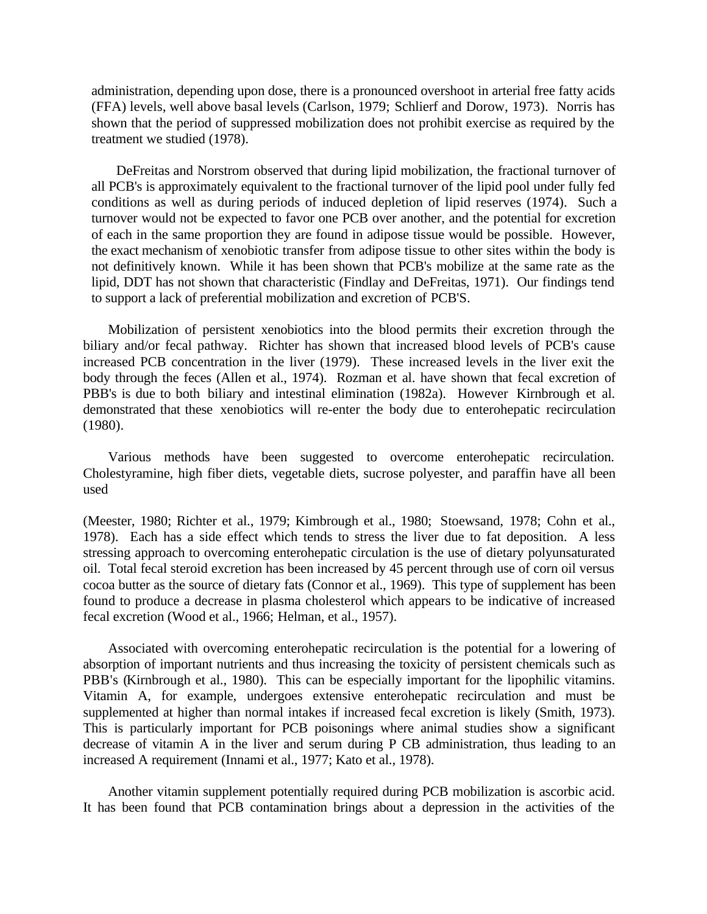administration, depending upon dose, there is a pronounced overshoot in arterial free fatty acids (FFA) levels, well above basal levels (Carlson, 1979; Schlierf and Dorow, 1973). Norris has shown that the period of suppressed mobilization does not prohibit exercise as required by the treatment we studied (1978).

DeFreitas and Norstrom observed that during lipid mobilization, the fractional turnover of all PCB's is approximately equivalent to the fractional turnover of the lipid pool under fully fed conditions as well as during periods of induced depletion of lipid reserves (1974). Such a turnover would not be expected to favor one PCB over another, and the potential for excretion of each in the same proportion they are found in adipose tissue would be possible. However, the exact mechanism of xenobiotic transfer from adipose tissue to other sites within the body is not definitively known. While it has been shown that PCB's mobilize at the same rate as the lipid, DDT has not shown that characteristic (Findlay and DeFreitas, 1971). Our findings tend to support a lack of preferential mobilization and excretion of PCB'S.

Mobilization of persistent xenobiotics into the blood permits their excretion through the biliary and/or fecal pathway. Richter has shown that increased blood levels of PCB's cause increased PCB concentration in the liver (1979). These increased levels in the liver exit the body through the feces (Allen et al., 1974). Rozman et al. have shown that fecal excretion of PBB's is due to both biliary and intestinal elimination (1982a). However Kirnbrough et al. demonstrated that these xenobiotics will re-enter the body due to enterohepatic recirculation (1980).

Various methods have been suggested to overcome enterohepatic recirculation. Cholestyramine, high fiber diets, vegetable diets, sucrose polyester, and paraffin have all been used

(Meester, 1980; Richter et al., 1979; Kimbrough et al., 1980; Stoewsand, 1978; Cohn et al., 1978). Each has a side effect which tends to stress the liver due to fat deposition. A less stressing approach to overcoming enterohepatic circulation is the use of dietary polyunsaturated oil. Total fecal steroid excretion has been increased by 45 percent through use of corn oil versus cocoa butter as the source of dietary fats (Connor et al., 1969). This type of supplement has been found to produce a decrease in plasma cholesterol which appears to be indicative of increased fecal excretion (Wood et al., 1966; Helman, et al., 1957).

Associated with overcoming enterohepatic recirculation is the potential for a lowering of absorption of important nutrients and thus increasing the toxicity of persistent chemicals such as PBB's (Kirnbrough et al., 1980). This can be especially important for the lipophilic vitamins. Vitamin A, for example, undergoes extensive enterohepatic recirculation and must be supplemented at higher than normal intakes if increased fecal excretion is likely (Smith, 1973). This is particularly important for PCB poisonings where animal studies show a significant decrease of vitamin A in the liver and serum during P CB administration, thus leading to an increased A requirement (Innami et al., 1977; Kato et al., 1978).

Another vitamin supplement potentially required during PCB mobilization is ascorbic acid. It has been found that PCB contamination brings about a depression in the activities of the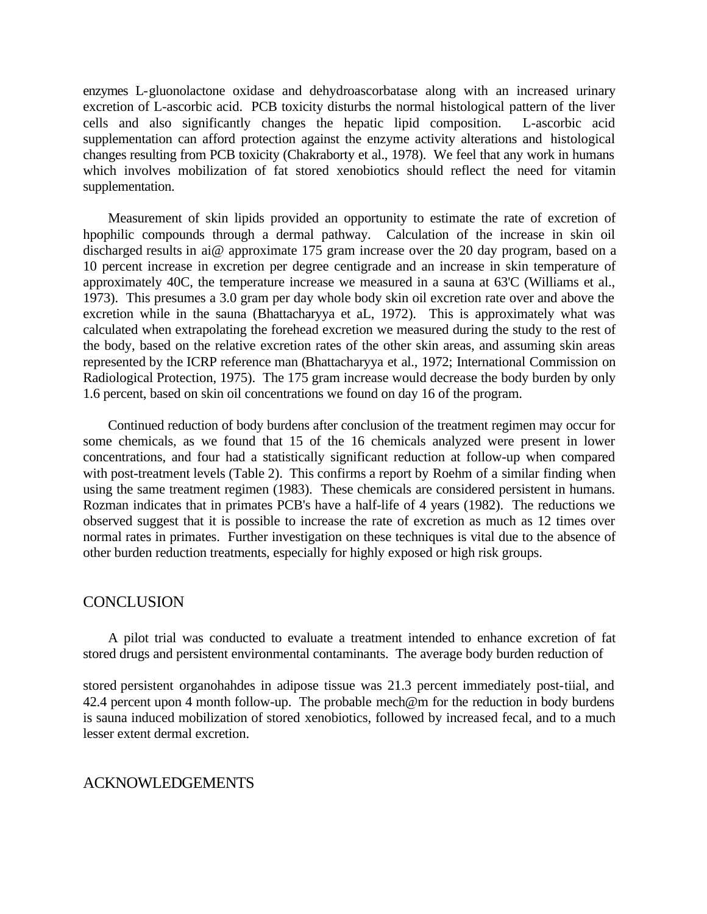enzymes L-gluonolactone oxidase and dehydroascorbatase along with an increased urinary excretion of L-ascorbic acid. PCB toxicity disturbs the normal histological pattern of the liver cells and also significantly changes the hepatic lipid composition. L-ascorbic acid supplementation can afford protection against the enzyme activity alterations and histological changes resulting from PCB toxicity (Chakraborty et al., 1978). We feel that any work in humans which involves mobilization of fat stored xenobiotics should reflect the need for vitamin supplementation.

Measurement of skin lipids provided an opportunity to estimate the rate of excretion of hpophilic compounds through a dermal pathway. Calculation of the increase in skin oil discharged results in ai@ approximate 175 gram increase over the 20 day program, based on a 10 percent increase in excretion per degree centigrade and an increase in skin temperature of approximately 40C, the temperature increase we measured in a sauna at 63'C (Williams et al., 1973). This presumes a 3.0 gram per day whole body skin oil excretion rate over and above the excretion while in the sauna (Bhattacharyya et aL, 1972). This is approximately what was calculated when extrapolating the forehead excretion we measured during the study to the rest of the body, based on the relative excretion rates of the other skin areas, and assuming skin areas represented by the ICRP reference man (Bhattacharyya et al., 1972; International Commission on Radiological Protection, 1975). The 175 gram increase would decrease the body burden by only 1.6 percent, based on skin oil concentrations we found on day 16 of the program.

Continued reduction of body burdens after conclusion of the treatment regimen may occur for some chemicals, as we found that 15 of the 16 chemicals analyzed were present in lower concentrations, and four had a statistically significant reduction at follow-up when compared with post-treatment levels (Table 2). This confirms a report by Roehm of a similar finding when using the same treatment regimen (1983). These chemicals are considered persistent in humans. Rozman indicates that in primates PCB's have a half-life of 4 years (1982). The reductions we observed suggest that it is possible to increase the rate of excretion as much as 12 times over normal rates in primates. Further investigation on these techniques is vital due to the absence of other burden reduction treatments, especially for highly exposed or high risk groups.

#### **CONCLUSION**

A pilot trial was conducted to evaluate a treatment intended to enhance excretion of fat stored drugs and persistent environmental contaminants. The average body burden reduction of

stored persistent organohahdes in adipose tissue was 21.3 percent immediately post-tiial, and 42.4 percent upon 4 month follow-up. The probable mech@m for the reduction in body burdens is sauna induced mobilization of stored xenobiotics, followed by increased fecal, and to a much lesser extent dermal excretion.

#### ACKNOWLEDGEMENTS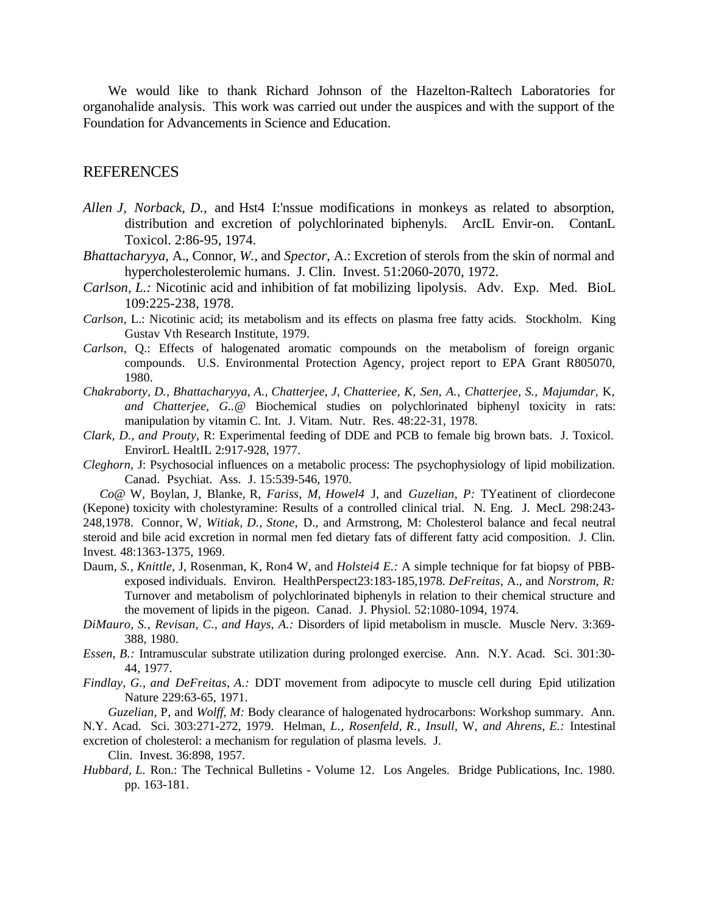We would like to thank Richard Johnson of the Hazelton-Raltech Laboratories for organohalide analysis. This work was carried out under the auspices and with the support of the Foundation for Advancements in Science and Education.

#### REFERENCES

- *Allen J, Norback, D.,* and Hst4 I:'nssue modifications in monkeys as related to absorption, distribution and excretion of polychlorinated biphenyls. ArcIL Envir-on. ContanL Toxicol. 2:86-95, 1974.
- *Bhattacharyya,* A., Connor, *W.,* and *Spector,* A.: Excretion of sterols from the skin of normal and hypercholesterolemic humans. J. Clin. Invest. 51:2060-2070, 1972.
- *Carlson, L.:* Nicotinic acid and inhibition of fat mobilizing lipolysis. Adv. Exp. Med. BioL 109:225-238, 1978.
- *Carlson,* L.: Nicotinic acid; its metabolism and its effects on plasma free fatty acids. Stockholm. King Gustav Vth Research Institute, 1979.
- *Carlson,* Q.: Effects of halogenated aromatic compounds on the metabolism of foreign organic compounds. U.S. Environmental Protection Agency, project report to EPA Grant R805070, 1980.
- *Chakraborty, D., Bhattacharyya, A., Chatterjee, J, Chatteriee, K, Sen, A., Chatterjee, S., Majumdar,* K, *and Chatterjee, G..@* Biochemical studies on polychlorinated biphenyl toxicity in rats: manipulation by vitamin C. Int. J. Vitam. Nutr. Res. 48:22-31, 1978.
- *Clark, D., and Prouty,* R: Experimental feeding of DDE and PCB to female big brown bats. J. Toxicol. EnvirorL HealtIL 2:917-928, 1977.
- *Cleghorn,* J: Psychosocial influences on a metabolic process: The psychophysiology of lipid mobilization. Canad. Psychiat. Ass. J. 15:539-546, 1970.

*Co@* W, Boylan, J, Blanke, R, *Fariss, M, Howel4* J, and *Guzelian, P:* TYeatinent of cliordecone (Kepone) toxicity with cholestyramine: Results of a controlled clinical trial. N. Eng. J. MecL 298:243- 248,1978. Connor, W, *Witiak, D., Stone,* D., and Armstrong, M: Cholesterol balance and fecal neutral steroid and bile acid excretion in normal men fed dietary fats of different fatty acid composition. J. Clin. Invest. 48:1363-1375, 1969.

- Daum, *S., Knittle,* J, Rosenman, K, Ron4 W, and *Holstei4 E.:* A simple technique for fat biopsy of PBBexposed individuals. Environ. HealthPerspect23:183-185,1978. *DeFreitas,* A., and *Norstrom, R:* Turnover and metabolism of polychlorinated biphenyls in relation to their chemical structure and the movement of lipids in the pigeon. Canad. J. Physiol. 52:1080-1094, 1974.
- *DiMauro, S., Revisan, C., and Hays, A.:* Disorders of lipid metabolism in muscle. Muscle Nerv. 3:369- 388, 1980.
- *Essen, B.:* Intramuscular substrate utilization during prolonged exercise. Ann. N.Y. Acad. Sci. 301:30- 44, 1977.
- *Findlay, G., and DeFreitas, A.:* DDT movement from adipocyte to muscle cell during Epid utilization Nature 229:63-65, 1971.

*Guzelian,* P, and *Wolff, M:* Body clearance of halogenated hydrocarbons: Workshop summary. Ann. N.Y. Acad. Sci. 303:271-272, 1979. Helman, *L., Rosenfeld, R., Insull,* W, *and Ahrens, E.:* Intestinal

excretion of cholesterol: a mechanism for regulation of plasma levels. J.

Clin. Invest. 36:898, 1957.

*Hubbard, L.* Ron.: The Technical Bulletins - Volume 12. Los Angeles. Bridge Publications, Inc. 1980. pp. 163-181.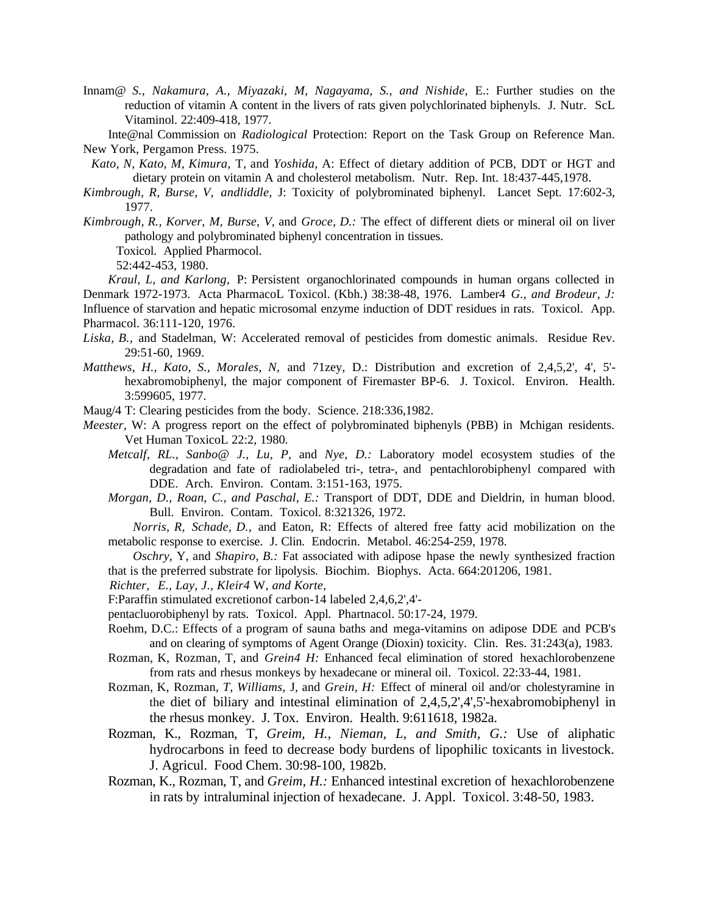- Innam@ *S., Nakamura, A., Miyazaki, M, Nagayama, S., and Nishide,* E.: Further studies on the reduction of vitamin A content in the livers of rats given polychlorinated biphenyls. J. Nutr. ScL Vitaminol. 22:409-418, 1977.
- Inte@nal Commission on *Radiological* Protection: Report on the Task Group on Reference Man. New York, Pergamon Press. 1975.
- *Kato, N, Kato, M, Kimura,* T, and *Yoshida,* A: Effect of dietary addition of PCB, DDT or HGT and dietary protein on vitamin A and cholesterol metabolism. Nutr. Rep. Int. 18:437-445,1978.
- *Kimbrough, R, Burse, V, andliddle,* J: Toxicity of polybrominated biphenyl. Lancet Sept. 17:602-3, 1977.
- *Kimbrough, R., Korver, M, Burse, V,* and *Groce, D.:* The effect of different diets or mineral oil on liver pathology and polybrominated biphenyl concentration in tissues.

Toxicol. Applied Pharmocol.

52:442-453, 1980.

*Kraul, L, and Karlong,* P: Persistent organochlorinated compounds in human organs collected in Denmark 1972-1973. Acta PharmacoL Toxicol. (Kbh.) 38:38-48, 1976. Lamber4 *G., and Brodeur, J:* Influence of starvation and hepatic microsomal enzyme induction of DDT residues in rats. Toxicol. App. Pharmacol. 36:111-120, 1976.

- *Liska, B.,* and Stadelman, W: Accelerated removal of pesticides from domestic animals. Residue Rev. 29:51-60, 1969.
- *Matthews, H., Kato, S., Morales, N,* and 71zey, D.: Distribution and excretion of 2,4,5,2', 4', 5' hexabromobiphenyl, the major component of Firemaster BP-6. J. Toxicol. Environ. Health. 3:599605, 1977.
- Maug/4 T: Clearing pesticides from the body. Science. 218:336,1982.
- *Meester,* W: A progress report on the effect of polybrominated biphenyls (PBB) in Mchigan residents. Vet Human ToxicoL 22:2, 1980.
	- *Metcalf, RL., Sanbo@ J., Lu, P,* and *Nye, D.:* Laboratory model ecosystem studies of the degradation and fate of radiolabeled tri-, tetra-, and pentachlorobiphenyl compared with DDE. Arch. Environ. Contam. 3:151-163, 1975.
	- *Morgan, D., Roan, C., and Paschal, E.:* Transport of DDT, DDE and Dieldrin, in human blood. Bull. Environ. Contam. Toxicol. 8:321326, 1972.

*Norris, R, Schade, D.,* and Eaton, R: Effects of altered free fatty acid mobilization on the metabolic response to exercise. J. Clin. Endocrin. Metabol. 46:254-259, 1978.

*Oschry,* Y, and *Shapiro, B.:* Fat associated with adipose hpase the newly synthesized fraction that is the preferred substrate for lipolysis. Biochim. Biophys. Acta. 664:201206, 1981.

*Richter, E., Lay, J., Kleir4* W, *and Korte,*

F:Paraffin stimulated excretionof carbon-14 labeled 2,4,6,2',4'-

pentacluorobiphenyl by rats. Toxicol. Appl. Phartnacol. 50:17-24, 1979.

- Roehm, D.C.: Effects of a program of sauna baths and mega-vitamins on adipose DDE and PCB's and on clearing of symptoms of Agent Orange (Dioxin) toxicity. Clin. Res. 31:243(a), 1983.
- Rozman, K, Rozman, T, and *Grein4 H:* Enhanced fecal elimination of stored hexachlorobenzene from rats and rhesus monkeys by hexadecane or mineral oil. Toxicol. 22:33-44, 1981.
- Rozman, K, Rozman, *T, Williams,* J, and *Grein, H:* Effect of mineral oil and/or cholestyramine in the diet of biliary and intestinal elimination of 2,4,5,2',4',5'-hexabromobiphenyl in the rhesus monkey. J. Tox. Environ. Health. 9:611618, 1982a.
- Rozman, K., Rozman, T, *Greim, H., Nieman, L, and Smith, G.:* Use of aliphatic hydrocarbons in feed to decrease body burdens of lipophilic toxicants in livestock. J. Agricul. Food Chem. 30:98-100, 1982b.
- Rozman, K., Rozman, T, and *Greim, H.:* Enhanced intestinal excretion of hexachlorobenzene in rats by intraluminal injection of hexadecane. J. Appl. Toxicol. 3:48-50, 1983.